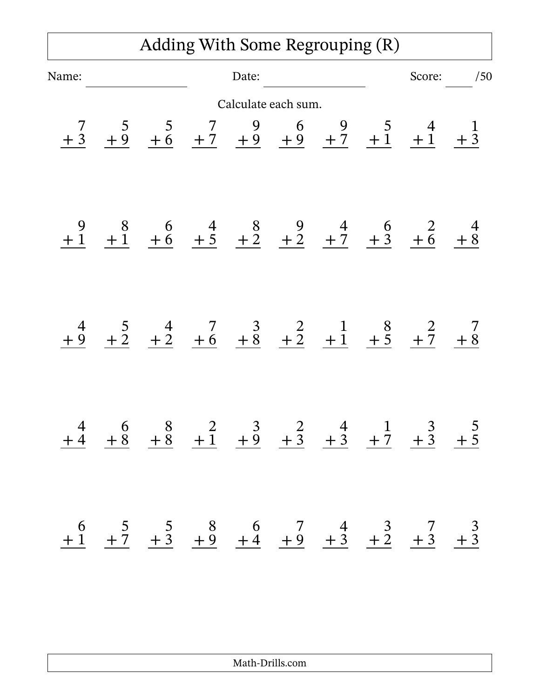## Adding With Some Regrouping (R)

| Name:        |                |  | Date:               |  | Score:                                                                                                                                                                          | /50 |
|--------------|----------------|--|---------------------|--|---------------------------------------------------------------------------------------------------------------------------------------------------------------------------------|-----|
|              |                |  | Calculate each sum. |  |                                                                                                                                                                                 |     |
| $rac{7}{1}$  |                |  |                     |  | $\frac{5}{+9}$ $\frac{5}{+6}$ $\frac{7}{+7}$ $\frac{9}{+9}$ $\frac{6}{+9}$ $\frac{9}{+7}$ $\frac{5}{+1}$ $\frac{4}{+1}$ $\frac{1}{+3}$                                          |     |
|              |                |  |                     |  | $\begin{array}{ccccccccc}\n9 & 8 & 6 & 4 & 8 & 9 & 4 & 6 & 2 & 4 \\ \hline\n\pm 1 & \pm 1 & \pm 6 & \pm 5 & \pm 2 & \pm 2 & \pm 2 & \pm 7 & \pm 3 & \pm 6 & \pm 8\n\end{array}$ |     |
| $rac{4}{+9}$ |                |  |                     |  | $\frac{5}{\pm 2}$ $\frac{4}{\pm 2}$ $\frac{7}{\pm 6}$ $\frac{3}{\pm 8}$ $\frac{2}{\pm 2}$ $\frac{1}{\pm 1}$ $\frac{8}{\pm 5}$ $\frac{2}{\pm 7}$ $\frac{7}{\pm 8}$               |     |
| $+4$         | $+\frac{6}{8}$ |  |                     |  | $\begin{array}{ccccccccc}\n8 & 2 & 3 & 2 & 4 & 1 & 3 & 5 \\ +8 & +1 & +9 & +3 & +3 & +7 & +3 & +5\n\end{array}$                                                                 |     |
|              |                |  |                     |  | $\begin{array}{ccccccccc}\n6 & 5 & 5 & 8 & 6 & 7 & 4 & 3 & 7 & 3 \\ +1 & +7 & +3 & +9 & +4 & +9 & +3 & +2 & +3 & +3\n\end{array}$                                               |     |